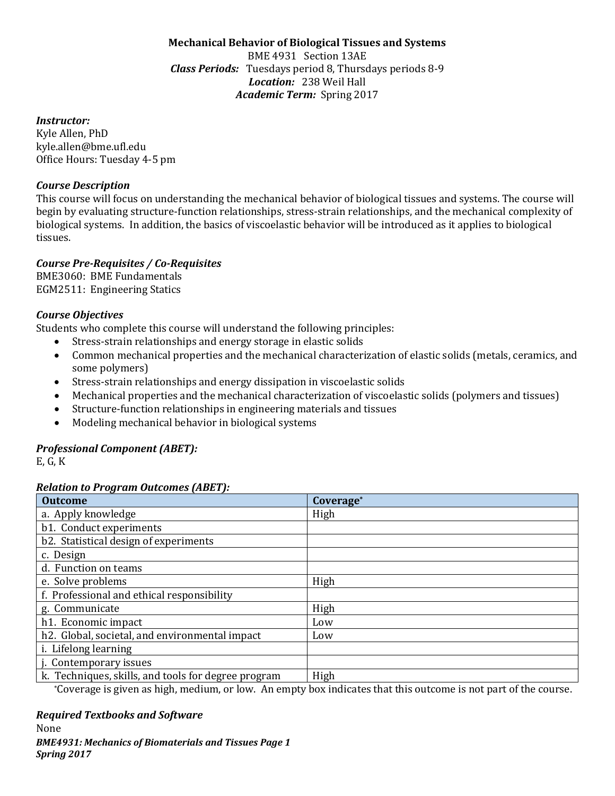#### **Mechanical Behavior of Biological Tissues and Systems** BME 4931 Section 13AE *Class Periods:* Tuesdays period 8, Thursdays periods 8-9 *Location:* 238 Weil Hall *Academic Term:* Spring 2017

#### *Instructor:*

Kyle Allen, PhD kyle.allen@bme.ufl.edu Office Hours: Tuesday 4-5 pm

## *Course Description*

This course will focus on understanding the mechanical behavior of biological tissues and systems. The course will begin by evaluating structure-function relationships, stress-strain relationships, and the mechanical complexity of biological systems. In addition, the basics of viscoelastic behavior will be introduced as it applies to biological tissues. 

# *Course Pre-Requisites / Co-Requisites*

BME3060: BME Fundamentals EGM2511: Engineering Statics

# *Course Objectives*

Students who complete this course will understand the following principles:

- Stress-strain relationships and energy storage in elastic solids
- Common mechanical properties and the mechanical characterization of elastic solids (metals, ceramics, and some polymers)
- Stress-strain relationships and energy dissipation in viscoelastic solids
- Mechanical properties and the mechanical characterization of viscoelastic solids (polymers and tissues)
- Structure-function relationships in engineering materials and tissues
- Modeling mechanical behavior in biological systems

# *Professional Component (ABET):*

E, G, K

# *Relation to Program Outcomes (ABET):*

| <b>Outcome</b>                                      | Coverage* |
|-----------------------------------------------------|-----------|
| a. Apply knowledge                                  | High      |
| b1. Conduct experiments                             |           |
| b2. Statistical design of experiments               |           |
| c. Design                                           |           |
| d. Function on teams                                |           |
| e. Solve problems                                   | High      |
| f. Professional and ethical responsibility          |           |
| g. Communicate                                      | High      |
| h1. Economic impact                                 | Low       |
| h2. Global, societal, and environmental impact      | Low       |
| i. Lifelong learning                                |           |
| j. Contemporary issues                              |           |
| k. Techniques, skills, and tools for degree program | High      |

\*Coverage is given as high, medium, or low. An empty box indicates that this outcome is not part of the course.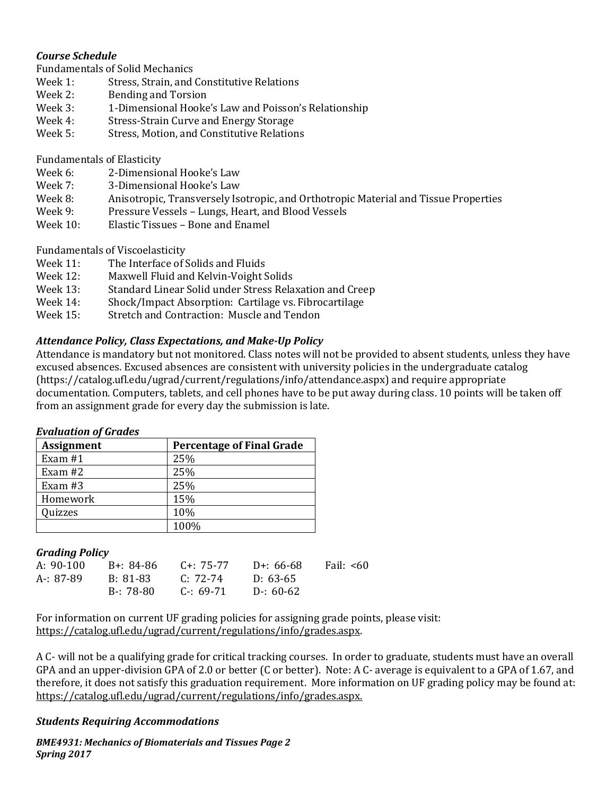## *Course Schedule*

Fundamentals of Solid Mechanics<br>Week 1: Stress Strain, and

- Week 1: Stress, Strain, and Constitutive Relations<br>Week 2: Bending and Torsion
- Week 2: Bending and Torsion<br>Week 3: 1-Dimensional Hooke
- Week 3: 1-Dimensional Hooke's Law and Poisson's Relationship<br>Week 4: Stress-Strain Curve and Energy Storage
- Week 4: Stress-Strain Curve and Energy Storage<br>Week 5: Stress, Motion, and Constitutive Relation
- Stress, Motion, and Constitutive Relations

Fundamentals of Elasticity<br>Week 6: 2-Dimensio

- Week 6: 2-Dimensional Hooke's Law<br>Week 7: 3-Dimensional Hooke's Law
- Week 7: 3-Dimensional Hooke's Law<br>Week 8: Anisotronic. Transverselv Is
- Week 8: Anisotropic, Transversely Isotropic, and Orthotropic Material and Tissue Properties<br>Week 9: Pressure Vessels Lungs. Heart. and Blood Vessels
- Week 9: Pressure Vessels Lungs, Heart, and Blood Vessels<br>Week 10: Elastic Tissues Bone and Enamel
- Elastic Tissues Bone and Enamel

Fundamentals of Viscoelasticity<br>Week 11: The Interface of:

- Week 11: The Interface of Solids and Fluids<br>Week 12: Maxwell Fluid and Kelvin-Voight S
- Week 12: Maxwell Fluid and Kelvin-Voight Solids<br>Week 13: Standard Linear Solid under Stress Rela
- Week 13: Standard Linear Solid under Stress Relaxation and Creep<br>Week 14: Shock/Impact Absorption: Cartilage vs. Fibrocartilage
- Week 14: Shock/Impact Absorption: Cartilage vs. Fibrocartilage<br>Week 15: Stretch and Contraction: Muscle and Tendon
- Stretch and Contraction: Muscle and Tendon

#### *Attendance Policy, Class Expectations, and Make-Up Policy*

Attendance is mandatory but not monitored. Class notes will not be provided to absent students, unless they have excused absences. Excused absences are consistent with university policies in the undergraduate catalog [\(https://catalog.ufl.edu/ugrad/current/regulations/info/attendance.aspx\)](https://catalog.ufl.edu/ugrad/current/regulations/info/attendance.aspx) and require appropriate documentation. Computers, tablets, and cell phones have to be put away during class. 10 points will be taken off from an assignment grade for every day the submission is late.

#### *Evaluation of Grades*

| <b>Assignment</b> | <b>Percentage of Final Grade</b> |
|-------------------|----------------------------------|
| Exam $#1$         | 25%                              |
| Exam $#2$         | 25%                              |
| Exam $#3$         | 25%                              |
| Homework          | 15%                              |
| Quizzes           | 10%                              |
|                   | 100%                             |

#### *Grading Policy*

| A: 90-100 | B+: 84-86 | C+: 75-77             | D+: 66-68 | Fail: <60 |
|-----------|-----------|-----------------------|-----------|-----------|
| A-: 87-89 | B: 81-83  | C: 72-74              | D: 63-65  |           |
|           | B-: 78-80 | $C - 69-71$ D-: 60-62 |           |           |
|           |           |                       |           |           |

For information on current UF grading policies for assigning grade points, please visit: [https://catalog.ufl.edu/ugrad/current/regulations/info/grades.aspx.](https://catalog.ufl.edu/ugrad/current/regulations/info/grades.aspx)

A C- will not be a qualifying grade for critical tracking courses. In order to graduate, students must have an overall GPA and an upper-division GPA of 2.0 or better (C or better). Note: A C- average is equivalent to a GPA of 1.67, and therefore, it does not satisfy this graduation requirement. More information on UF grading policy may be found at: [https://catalog.ufl.edu/ugrad/current/regulations/info/grades.aspx.](https://catalog.ufl.edu/ugrad/current/regulations/info/grades.aspx)

#### *Students Requiring Accommodations*

*BME4931: Mechanics of Biomaterials and Tissues Page 2 Spring 2017*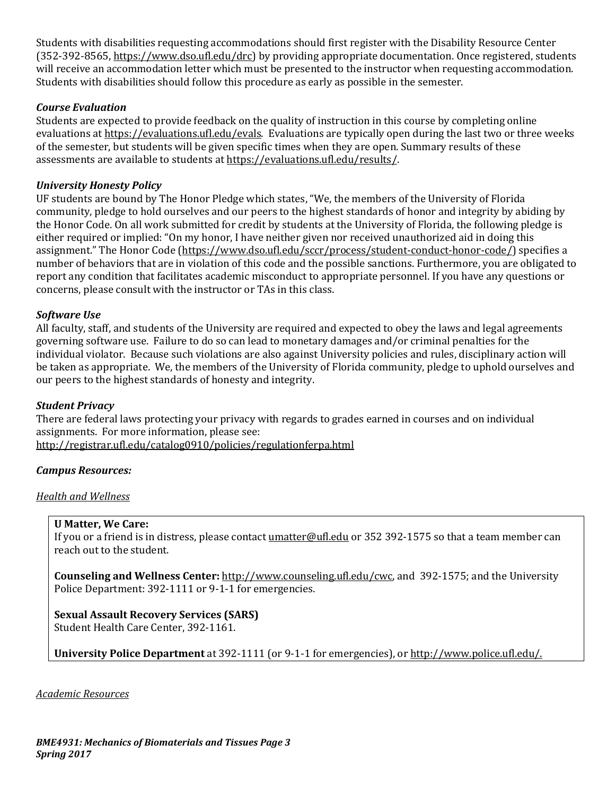Students with disabilities requesting accommodations should first register with the Disability Resource Center (352-392-8565, https://www.dso.ufl.edu/drc) by providing appropriate documentation. Once registered, students will receive an accommodation letter which must be presented to the instructor when requesting accommodation. Students with disabilities should follow this procedure as early as possible in the semester.

# *Course Evaluation*

Students are expected to provide feedback on the quality of instruction in this course by completing online evaluations at [https://evaluations.ufl.edu/evals.](https://evaluations.ufl.edu/evals) Evaluations are typically open during the last two or three weeks of the semester, but students will be given specific times when they are open. Summary results of these assessments are available to students at [https://evaluations.ufl.edu/results/.](https://evaluations.ufl.edu/results/)

# *University Honesty Policy*

UF students are bound by The Honor Pledge which states, "We, the members of the University of Florida community, pledge to hold ourselves and our peers to the highest standards of honor and integrity by abiding by the Honor Code. On all work submitted for credit by students at the University of Florida, the following pledge is either required or implied: "On my honor, I have neither given nor received unauthorized aid in doing this assignment." The Honor Code (https://www.dso.ufl.edu/sccr/process/student-conduct-honor-code/) specifies a number of behaviors that are in violation of this code and the possible sanctions. Furthermore, you are obligated to report any condition that facilitates academic misconduct to appropriate personnel. If you have any questions or concerns, please consult with the instructor or TAs in this class.

# *Software Use*

All faculty, staff, and students of the University are required and expected to obey the laws and legal agreements governing software use. Failure to do so can lead to monetary damages and/or criminal penalties for the individual violator. Because such violations are also against University policies and rules, disciplinary action will be taken as appropriate. We, the members of the University of Florida community, pledge to uphold ourselves and our peers to the highest standards of honesty and integrity.

#### *Student Privacy*

There are federal laws protecting your privacy with regards to grades earned in courses and on individual assignments. For more information, please see: <http://registrar.ufl.edu/catalog0910/policies/regulationferpa.html>

#### *Campus Resources:*

#### *Health and Wellness*

#### **U Matter, We Care:**

If you or a friend is in distress, please contact umatter@ufl.edu or 352 392-1575 so that a team member can reach out to the student.

**Counseling and Wellness Center:** [http://www.counseling.ufl.edu/cwc,](http://www.counseling.ufl.edu/cwc) and 392-1575; and the University Police Department: 392-1111 or 9-1-1 for emergencies.

# **Sexual Assault Recovery Services (SARS)**

Student Health Care Center, 392-1161.

**University Police Department** at 392-1111 (or 9-1-1 for emergencies), or [http://www.police.ufl.edu/.](http://www.police.ufl.edu/)

*Academic Resources*